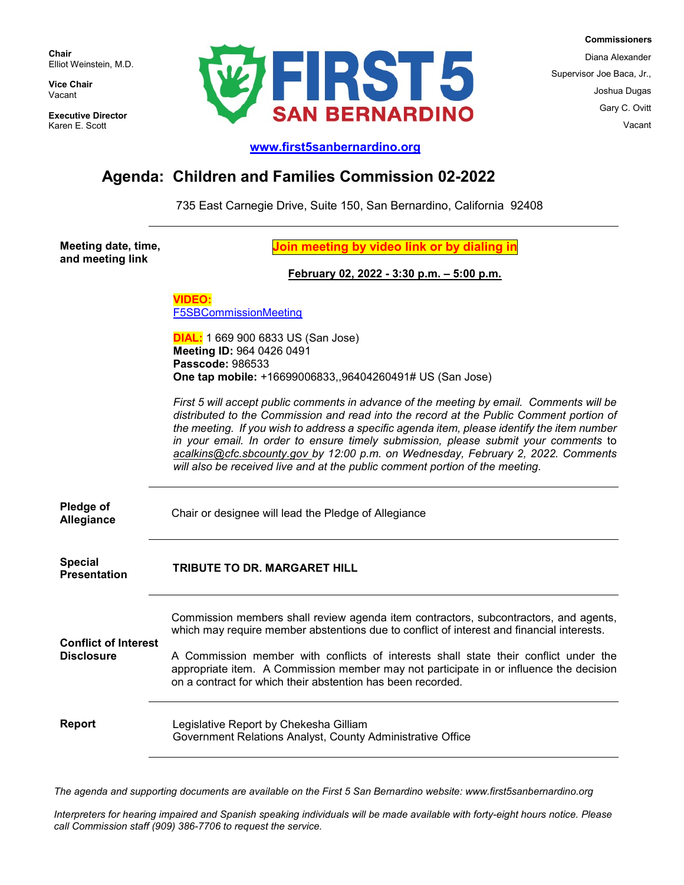**Chair** Elliot Weinstein, M.D.

**Vice Chair** Vacant

**Executive Director** Karen E. Scott



 **Commissioners** Diana Alexander Supervisor Joe Baca, Jr., Joshua Dugas Gary C. Ovitt

**[www.first5sanbernardino.org](http://www.first5sanbernardino.org/)**

## **Agenda: Children and Families Commission 02-2022**

735 East Carnegie Drive, Suite 150, San Bernardino, California 92408

**Meeting date, time, and meeting link**

**Join meeting by video link or by dialing in**

## **February 02, 2022 - 3:30 p.m. – 5:00 p.m.**

**VIDEO:** [F5SBCommissionMeeting](https://sbcounty.zoom.us/j/96404260491?pwd=a3k5TWdrKzZCc1liQmdoUFN6R1NMUT09)

**DIAL:** 1 669 900 6833 US (San Jose) **Meeting ID:** 964 0426 0491 **Passcode:** 986533 **One tap mobile:** +16699006833,,96404260491# US (San Jose)

*First 5 will accept public comments in advance of the meeting by email. Comments will be distributed to the Commission and read into the record at the Public Comment portion of the meeting. If you wish to address a specific agenda item, please identify the item number in your email. In order to ensure timely submission, please submit your comments* to *[acalkins@cfc.sbcounty.gov](mailto:acalkins@cfc.sbcounty.gov) by 12:00 p.m. on Wednesday, February 2, 2022. Comments will also be received live and at the public comment portion of the meeting.*

**Pledge of** 

**Allegiance** Chair or designee will lead the Pledge of Allegiance

**Special**

**Presentation TRIBUTE TO DR. MARGARET HILL**

Commission members shall review agenda item contractors, subcontractors, and agents, which may require member abstentions due to conflict of interest and financial interests.

**Conflict of Interest Disclosure**

A Commission member with conflicts of interests shall state their conflict under the appropriate item. A Commission member may not participate in or influence the decision on a contract for which their abstention has been recorded.

**Report** Legislative Report by Chekesha Gilliam Government Relations Analyst, County Administrative Office

*The agenda and supporting documents are available on the First 5 San Bernardino website: www.first5sanbernardino.org*

*Interpreters for hearing impaired and Spanish speaking individuals will be made available with forty-eight hours notice. Please call Commission staff (909) 386-7706 to request the service.*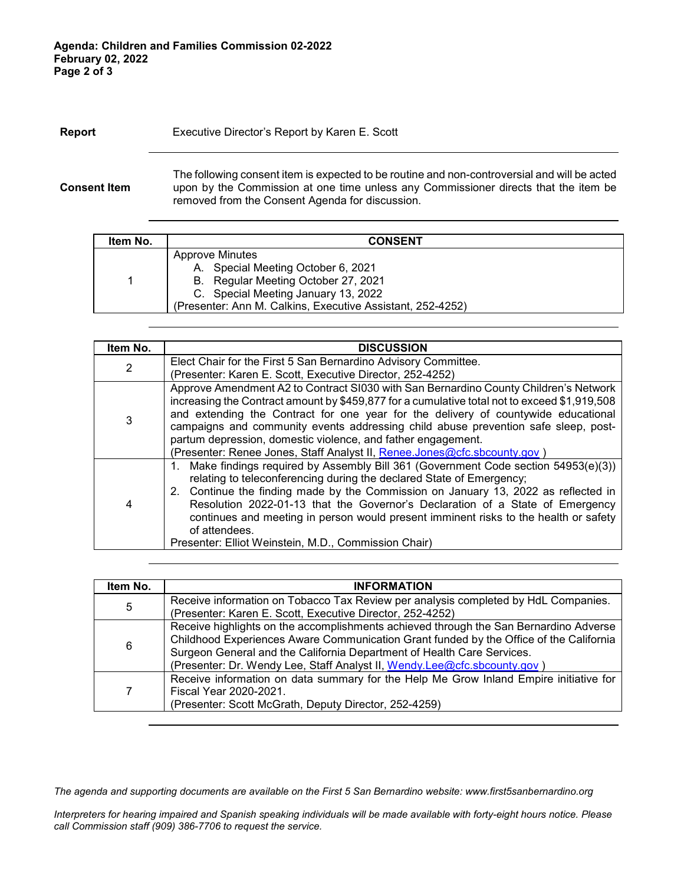## **Report** Executive Director's Report by Karen E. Scott

**Consent Item**

The following consent item is expected to be routine and non-controversial and will be acted upon by the Commission at one time unless any Commissioner directs that the item be removed from the Consent Agenda for discussion.

| Item No. | <b>CONSENT</b>                                                                                                                                                                                           |  |
|----------|----------------------------------------------------------------------------------------------------------------------------------------------------------------------------------------------------------|--|
|          | <b>Approve Minutes</b><br>A. Special Meeting October 6, 2021<br>B. Regular Meeting October 27, 2021<br>C. Special Meeting January 13, 2022<br>(Presenter: Ann M. Calkins, Executive Assistant, 252-4252) |  |

| Item No.       | <b>DISCUSSION</b>                                                                                                                                                                                                                                                                                                                                                                                                                                                                                            |
|----------------|--------------------------------------------------------------------------------------------------------------------------------------------------------------------------------------------------------------------------------------------------------------------------------------------------------------------------------------------------------------------------------------------------------------------------------------------------------------------------------------------------------------|
| $\overline{2}$ | Elect Chair for the First 5 San Bernardino Advisory Committee.                                                                                                                                                                                                                                                                                                                                                                                                                                               |
|                | (Presenter: Karen E. Scott, Executive Director, 252-4252)                                                                                                                                                                                                                                                                                                                                                                                                                                                    |
| 3              | Approve Amendment A2 to Contract S1030 with San Bernardino County Children's Network<br>increasing the Contract amount by \$459,877 for a cumulative total not to exceed \$1,919,508<br>and extending the Contract for one year for the delivery of countywide educational<br>campaigns and community events addressing child abuse prevention safe sleep, post-<br>partum depression, domestic violence, and father engagement.<br>(Presenter: Renee Jones, Staff Analyst II, Renee.Jones@cfc.sbcounty.gov) |
| $\overline{4}$ | 1. Make findings required by Assembly Bill 361 (Government Code section 54953(e)(3))<br>relating to teleconferencing during the declared State of Emergency;<br>2. Continue the finding made by the Commission on January 13, 2022 as reflected in<br>Resolution 2022-01-13 that the Governor's Declaration of a State of Emergency<br>continues and meeting in person would present imminent risks to the health or safety<br>of attendees.<br>Presenter: Elliot Weinstein, M.D., Commission Chair)         |

| Item No. | <b>INFORMATION</b>                                                                                                                                                                                                                                                                                                                    |
|----------|---------------------------------------------------------------------------------------------------------------------------------------------------------------------------------------------------------------------------------------------------------------------------------------------------------------------------------------|
| 5        | Receive information on Tobacco Tax Review per analysis completed by HdL Companies.<br>(Presenter: Karen E. Scott, Executive Director, 252-4252)                                                                                                                                                                                       |
| 6        | Receive highlights on the accomplishments achieved through the San Bernardino Adverse<br>Childhood Experiences Aware Communication Grant funded by the Office of the California<br>Surgeon General and the California Department of Health Care Services.<br>(Presenter: Dr. Wendy Lee, Staff Analyst II, Wendy.Lee@cfc.sbcounty.gov) |
| 7        | Receive information on data summary for the Help Me Grow Inland Empire initiative for<br>Fiscal Year 2020-2021.<br>(Presenter: Scott McGrath, Deputy Director, 252-4259)                                                                                                                                                              |

*The agenda and supporting documents are available on the First 5 San Bernardino website: www.first5sanbernardino.org*

*Interpreters for hearing impaired and Spanish speaking individuals will be made available with forty-eight hours notice. Please call Commission staff (909) 386-7706 to request the service.*